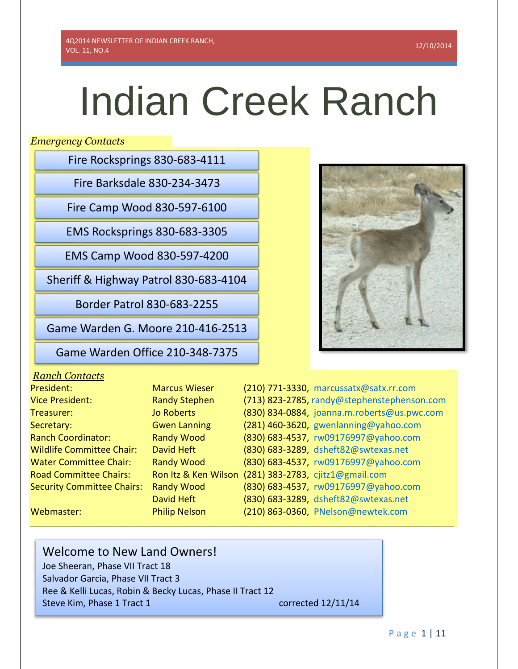# Indian Creek Ranch

*Emergency Contacts*

Fire Rocksprings 830-683-4111

Fire Barksdale 830-234-3473

Fire Camp Wood 830-597-6100

EMS Rocksprings 830-683-3305

EMS Camp Wood 830-597-4200

Sheriff & Highway Patrol 830-683-4104

Border Patrol 830-683-2255

Game Warden G. Moore 210-416-2513

Game Warden Office 210-348-7375

# *Ranch Contacts*

| President:                        | <b>Marcus Wieser</b>                                  | (210) 771-3330, marcussatx@satx.rr.com      |
|-----------------------------------|-------------------------------------------------------|---------------------------------------------|
| <b>Vice President:</b>            | <b>Randy Stephen</b>                                  | (713) 823-2785, randy@stephenstephenson.com |
| Treasurer:                        | <b>Jo Roberts</b>                                     | (830) 834-0884, joanna.m.roberts@us.pwc.com |
| Secretary:                        | <b>Gwen Lanning</b>                                   | (281) 460-3620, gwenlanning@yahoo.com       |
| <b>Ranch Coordinator:</b>         | <b>Randy Wood</b>                                     | (830) 683-4537, rw09176997@yahoo.com        |
| <b>Wildlife Committee Chair:</b>  | David Heft                                            | (830) 683-3289, dsheft82@swtexas.net        |
| <b>Water Committee Chair:</b>     | <b>Randy Wood</b>                                     | (830) 683-4537, rw09176997@yahoo.com        |
| <b>Road Committee Chairs:</b>     | Ron Itz & Ken Wilson (281) 383-2783, cjitz1@gmail.com |                                             |
| <b>Security Committee Chairs:</b> | <b>Randy Wood</b>                                     | (830) 683-4537, rw09176997@yahoo.com        |
|                                   | David Heft                                            | (830) 683-3289, dsheft82@swtexas.net        |
| Webmaster:                        | <b>Philip Nelson</b>                                  | (210) 863-0360, PNelson@newtek.com          |
|                                   |                                                       |                                             |

**\_\_\_\_\_\_\_\_\_\_\_\_\_\_\_\_\_\_\_\_\_\_\_\_\_\_\_\_\_\_\_\_\_\_\_\_\_\_\_\_\_\_\_\_\_\_\_\_\_\_\_\_\_\_\_\_\_\_\_\_\_\_\_\_\_\_\_\_\_\_\_\_\_\_\_\_\_\_\_\_\_\_\_\_\_\_\_\_\_\_**

# Welcome to New Land Owners! Joe Sheeran, Phase VII Tract 18

Salvador Garcia, Phase VII Tract 3 Ree & Kelli Lucas, Robin & Becky Lucas, Phase II Tract 12 Steve Kim, Phase 1 Tract 1 corrected 12/11/14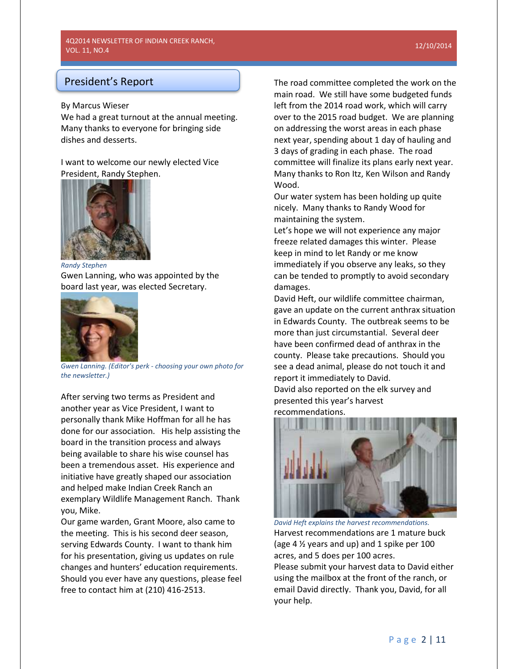# President's Report

# By Marcus Wieser

We had a great turnout at the annual meeting. Many thanks to everyone for bringing side dishes and desserts.

I want to welcome our newly elected Vice President, Randy Stephen.



*Randy Stephen*

Gwen Lanning, who was appointed by the board last year, was elected Secretary.



*Gwen Lanning. (Editor's perk - choosing your own photo for the newsletter.)*

After serving two terms as President and another year as Vice President, I want to personally thank Mike Hoffman for all he has done for our association. His help assisting the board in the transition process and always being available to share his wise counsel has been a tremendous asset. His experience and initiative have greatly shaped our association and helped make Indian Creek Ranch an exemplary Wildlife Management Ranch. Thank you, Mike.

Our game warden, Grant Moore, also came to the meeting. This is his second deer season, serving Edwards County. I want to thank him for his presentation, giving us updates on rule changes and hunters' education requirements. Should you ever have any questions, please feel free to contact him at (210) 416-2513.

The road committee completed the work on the main road. We still have some budgeted funds left from the 2014 road work, which will carry over to the 2015 road budget. We are planning on addressing the worst areas in each phase next year, spending about 1 day of hauling and 3 days of grading in each phase. The road committee will finalize its plans early next year. Many thanks to Ron Itz, Ken Wilson and Randy Wood.

Our water system has been holding up quite nicely. Many thanks to Randy Wood for maintaining the system.

Let's hope we will not experience any major freeze related damages this winter. Please keep in mind to let Randy or me know immediately if you observe any leaks, so they can be tended to promptly to avoid secondary damages.

David Heft, our wildlife committee chairman, gave an update on the current anthrax situation in Edwards County. The outbreak seems to be more than just circumstantial. Several deer have been confirmed dead of anthrax in the county. Please take precautions. Should you see a dead animal, please do not touch it and report it immediately to David.

David also reported on the elk survey and presented this year's harvest recommendations.



*David Heft explains the harvest recommendations.* Harvest recommendations are 1 mature buck (age  $4\frac{1}{2}$  years and up) and 1 spike per 100 acres, and 5 does per 100 acres. Please submit your harvest data to David either using the mailbox at the front of the ranch, or email David directly. Thank you, David, for all your help.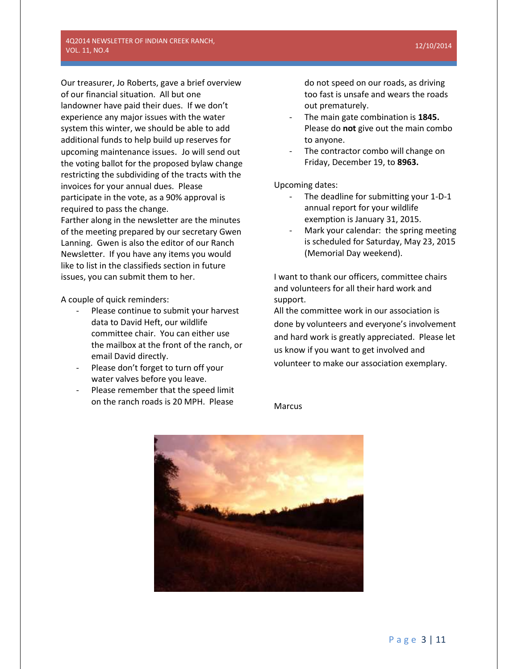## 4Q2014 NEWSLETTER OF INDIAN CREEK RANCH, VOL. 11, NO.4

Our treasurer, Jo Roberts, gave a brief overview of our financial situation. All but one landowner have paid their dues. If we don't experience any major issues with the water system this winter, we should be able to add additional funds to help build up reserves for upcoming maintenance issues. Jo will send out the voting ballot for the proposed bylaw change restricting the subdividing of the tracts with the invoices for your annual dues. Please participate in the vote, as a 90% approval is required to pass the change.

Farther along in the newsletter are the minutes of the meeting prepared by our secretary Gwen Lanning. Gwen is also the editor of our Ranch Newsletter. If you have any items you would like to list in the classifieds section in future issues, you can submit them to her.

A couple of quick reminders:

- Please continue to submit your harvest data to David Heft, our wildlife committee chair. You can either use the mailbox at the front of the ranch, or email David directly.
- Please don't forget to turn off your water valves before you leave.
- Please remember that the speed limit on the ranch roads is 20 MPH. Please

do not speed on our roads, as driving too fast is unsafe and wears the roads out prematurely.

- The main gate combination is **1845.** Please do **not** give out the main combo to anyone.
- The contractor combo will change on Friday, December 19, to **8963.**

Upcoming dates:

- The deadline for submitting your 1-D-1 annual report for your wildlife exemption is January 31, 2015.
- Mark your calendar: the spring meeting is scheduled for Saturday, May 23, 2015 (Memorial Day weekend).

I want to thank our officers, committee chairs and volunteers for all their hard work and support.

All the committee work in our association is done by volunteers and everyone's involvement and hard work is greatly appreciated. Please let us know if you want to get involved and volunteer to make our association exemplary.

**Marcus** 

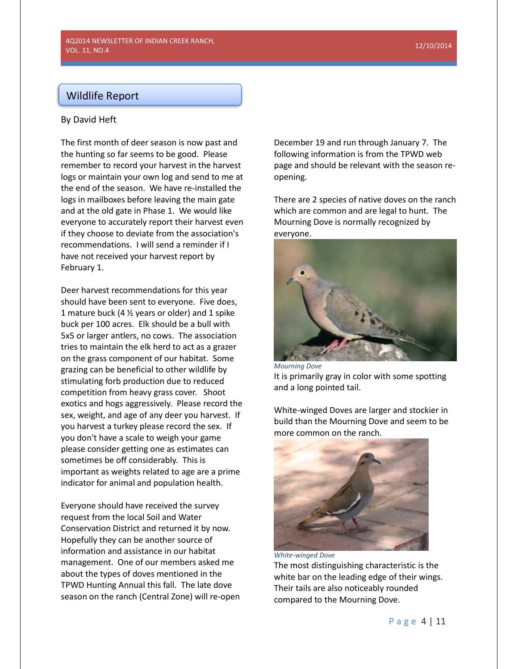# Wildlife Report

# By David Heft

The first month of deer season is now past and the hunting so far seems to be good. Please remember to record your harvest in the harvest logs or maintain your own log and send to me at the end of the season. We have re-installed the logs in mailboxes before leaving the main gate and at the old gate in Phase 1. We would like everyone to accurately report their harvest even if they choose to deviate from the association's recommendations. I will send a reminder if I have not received your harvest report by February 1.

Deer harvest recommendations for this year should have been sent to everyone. Five does, 1 mature buck (4 ½ years or older) and 1 spike buck per 100 acres. Elk should be a bull with 5x5 or larger antlers, no cows. The association tries to maintain the elk herd to act as a grazer on the grass component of our habitat. Some grazing can be beneficial to other wildlife by stimulating forb production due to reduced competition from heavy grass cover. Shoot exotics and hogs aggressively. Please record the sex, weight, and age of any deer you harvest. If you harvest a turkey please record the sex. If you don't have a scale to weigh your game please consider getting one as estimates can sometimes be off considerably. This is important as weights related to age are a prime indicator for animal and population health.

Everyone should have received the survey request from the local Soil and Water Conservation District and returned it by now. Hopefully they can be another source of information and assistance in our habitat management. One of our members asked me about the types of doves mentioned in the TPWD Hunting Annual this fall. The late dove season on the ranch (Central Zone) will re-open December 19 and run through January 7. The following information is from the TPWD web page and should be relevant with the season reopening.

There are 2 species of native doves on the ranch which are common and are legal to hunt. The Mourning Dove is normally recognized by everyone.



*Mourning Dove* It is primarily gray in color with some spotting and a long pointed tail.

White-winged Doves are larger and stockier in build than the Mourning Dove and seem to be more common on the ranch.



The most distinguishing characteristic is the white bar on the leading edge of their wings. Their tails are also noticeably rounded compared to the Mourning Dove.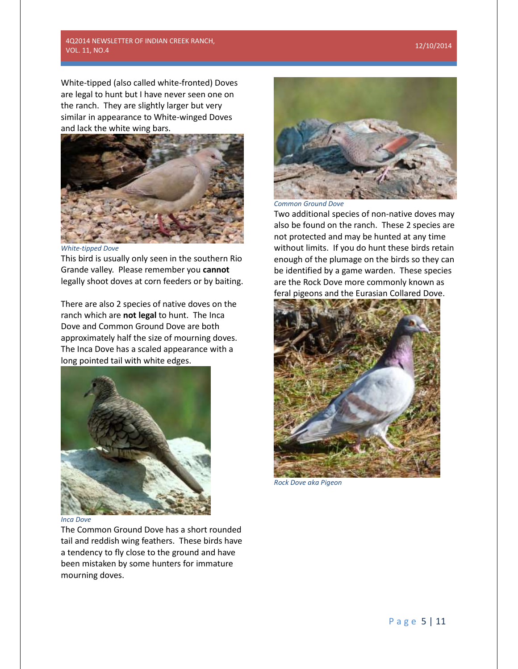# 12/10/2014

# 4Q2014 NEWSLETTER OF INDIAN CREEK RANCH, VOL. 11, NO.4

White-tipped (also called white-fronted) Doves are legal to hunt but I have never seen one on the ranch. They are slightly larger but very similar in appearance to White-winged Doves and lack the white wing bars.



*White-tipped Dove*

This bird is usually only seen in the southern Rio Grande valley. Please remember you **cannot**  legally shoot doves at corn feeders or by baiting.

There are also 2 species of native doves on the ranch which are **not legal** to hunt. The Inca Dove and Common Ground Dove are both approximately half the size of mourning doves. The Inca Dove has a scaled appearance with a long pointed tail with white edges.



#### *Inca Dove*

The Common Ground Dove has a short rounded tail and reddish wing feathers. These birds have a tendency to fly close to the ground and have been mistaken by some hunters for immature mourning doves.



*Common Ground Dove*

Two additional species of non-native doves may also be found on the ranch. These 2 species are not protected and may be hunted at any time without limits. If you do hunt these birds retain enough of the plumage on the birds so they can be identified by a game warden. These species are the Rock Dove more commonly known as feral pigeons and the Eurasian Collared Dove.



*Rock Dove aka Pigeon*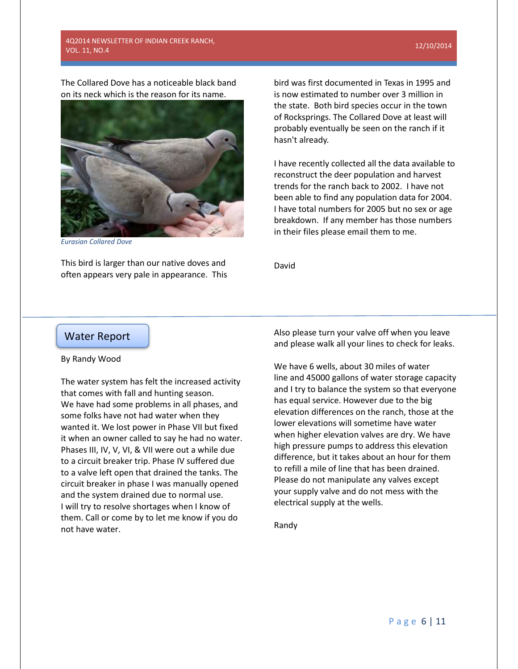# 4Q2014 NEWSLETTER OF INDIAN CREEK RANCH, VOL. 11, NO.4

#### 12/10/2014

The Collared Dove has a noticeable black band on its neck which is the reason for its name.



*Eurasian Collared Dove*

This bird is larger than our native doves and often appears very pale in appearance. This

bird was first documented in Texas in 1995 and is now estimated to number over 3 million in the state. Both bird species occur in the town of Rocksprings. The Collared Dove at least will probably eventually be seen on the ranch if it hasn't already.

I have recently collected all the data available to reconstruct the deer population and harvest trends for the ranch back to 2002. I have not been able to find any population data for 2004. I have total numbers for 2005 but no sex or age breakdown. If any member has those numbers in their files please email them to me.

David

# Water Report

## By Randy Wood

The water system has felt the increased activity that comes with fall and hunting season. We have had some problems in all phases, and some folks have not had water when they wanted it. We lost power in Phase VII but fixed it when an owner called to say he had no water. Phases III, IV, V, VI, & VII were out a while due to a circuit breaker trip. Phase IV suffered due to a valve left open that drained the tanks. The circuit breaker in phase I was manually opened and the system drained due to normal use. I will try to resolve shortages when I know of them. Call or come by to let me know if you do not have water.

Also please turn your valve off when you leave and please walk all your lines to check for leaks.

We have 6 wells, about 30 miles of water line and 45000 gallons of water storage capacity and I try to balance the system so that everyone has equal service. However due to the big elevation differences on the ranch, those at the lower elevations will sometime have water when higher elevation valves are dry. We have high pressure pumps to address this elevation difference, but it takes about an hour for them to refill a mile of line that has been drained. Please do not manipulate any valves except your supply valve and do not mess with the electrical supply at the wells.

Randy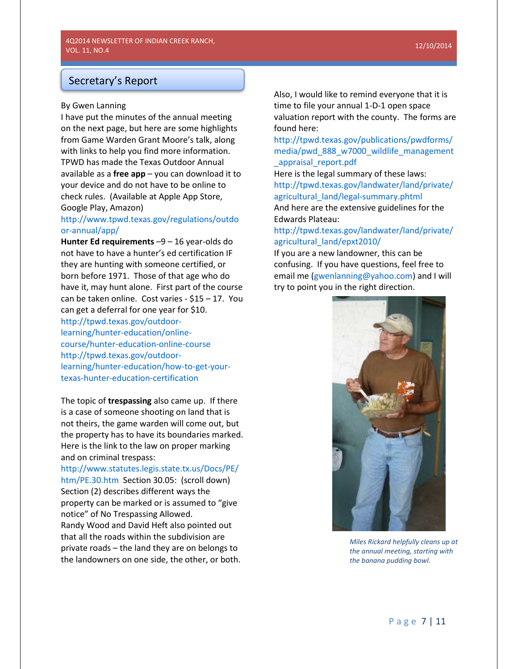# Secretary's Report

# By Gwen Lanning

I have put the minutes of the annual meeting on the next page, but here are some highlights from Game Warden Grant Moore's talk, along with links to help you find more information. TPWD has made the Texas Outdoor Annual available as a **free app** – you can download it to your device and do not have to be online to check rules. (Available at Apple App Store, Google Play, Amazon)

# [http://www.tpwd.texas.gov/regulations/outdo](http://www.tpwd.texas.gov/regulations/outdoor-annual/app/) [or-annual/app/](http://www.tpwd.texas.gov/regulations/outdoor-annual/app/)

**Hunter Ed requirements** –9 – 16 year-olds do not have to have a hunter's ed certification IF they are hunting with someone certified, or born before 1971. Those of that age who do have it, may hunt alone. First part of the course can be taken online. Cost varies - \$15 – 17. You can get a deferral for one year for \$10.

[http://tpwd.texas.gov/outdoor-](http://tpwd.texas.gov/outdoor-learning/hunter-education/online-course/hunter-education-online-course)

[learning/hunter-education/online](http://tpwd.texas.gov/outdoor-learning/hunter-education/online-course/hunter-education-online-course)[course/hunter-education-online-course](http://tpwd.texas.gov/outdoor-learning/hunter-education/online-course/hunter-education-online-course) [http://tpwd.texas.gov/outdoor](http://tpwd.texas.gov/outdoor-learning/hunter-education/how-to-get-your-texas-hunter-education-certification)[learning/hunter-education/how-to-get-your](http://tpwd.texas.gov/outdoor-learning/hunter-education/how-to-get-your-texas-hunter-education-certification)[texas-hunter-education-certification](http://tpwd.texas.gov/outdoor-learning/hunter-education/how-to-get-your-texas-hunter-education-certification)

The topic of **trespassing** also came up. If there is a case of someone shooting on land that is not theirs, the game warden will come out, but the property has to have its boundaries marked. Here is the link to the law on proper marking and on criminal trespass:

[http://www.statutes.legis.state.tx.us/Docs/PE/](http://www.statutes.legis.state.tx.us/Docs/PE/htm/PE.30.htm) [htm/PE.30.htm](http://www.statutes.legis.state.tx.us/Docs/PE/htm/PE.30.htm) Section 30.05: (scroll down) Section (2) describes different ways the property can be marked or is assumed to "give notice" of No Trespassing Allowed. Randy Wood and David Heft also pointed out that all the roads within the subdivision are private roads – the land they are on belongs to the landowners on one side, the other, or both.

Also, I would like to remind everyone that it is time to file your annual 1-D-1 open space valuation report with the county. The forms are found here:

[http://tpwd.texas.gov/publications/pwdforms/](http://tpwd.texas.gov/publications/pwdforms/media/pwd_888_w7000_wildlife_management_appraisal_report.pdf) [media/pwd\\_888\\_w7000\\_wildlife\\_management](http://tpwd.texas.gov/publications/pwdforms/media/pwd_888_w7000_wildlife_management_appraisal_report.pdf) [\\_appraisal\\_report.pdf](http://tpwd.texas.gov/publications/pwdforms/media/pwd_888_w7000_wildlife_management_appraisal_report.pdf)

Here is the legal summary of these laws: [http://tpwd.texas.gov/landwater/land/private/](http://tpwd.texas.gov/landwater/land/private/agricultural_land/legal-summary.phtml) [agricultural\\_land/legal-summary.phtml](http://tpwd.texas.gov/landwater/land/private/agricultural_land/legal-summary.phtml) And here are the extensive guidelines for the

Edwards Plateau:

# [http://tpwd.texas.gov/landwater/land/private/](http://tpwd.texas.gov/landwater/land/private/agricultural_land/epxt2010/) [agricultural\\_land/epxt2010/](http://tpwd.texas.gov/landwater/land/private/agricultural_land/epxt2010/)

If you are a new landowner, this can be confusing. If you have questions, feel free to email me [\(gwenlanning@yahoo.com\)](mailto:gwenlanning@yahoo.com) and I will try to point you in the right direction.



*Miles Rickard helpfully cleans up at the annual meeting, starting with the banana pudding bowl.*

#### 12/10/2014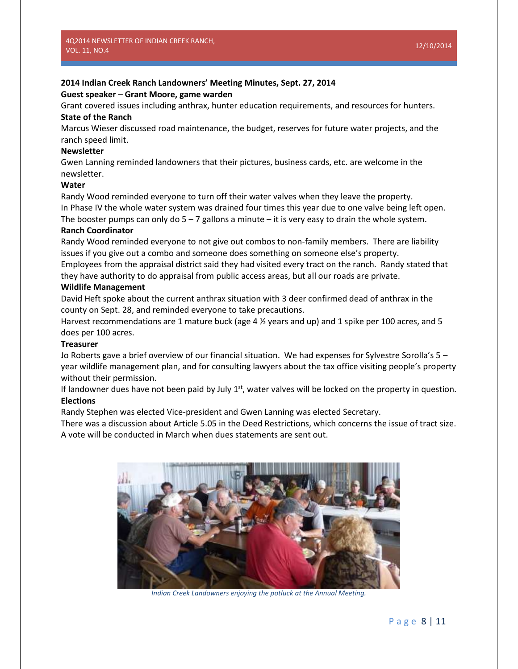# **2014 Indian Creek Ranch Landowners' Meeting Minutes, Sept. 27, 2014**

## **Guest speaker** – **Grant Moore, game warden**

Grant covered issues including anthrax, hunter education requirements, and resources for hunters. **State of the Ranch**

Marcus Wieser discussed road maintenance, the budget, reserves for future water projects, and the ranch speed limit.

# **Newsletter**

Gwen Lanning reminded landowners that their pictures, business cards, etc. are welcome in the newsletter.

# **Water**

Randy Wood reminded everyone to turn off their water valves when they leave the property. In Phase IV the whole water system was drained four times this year due to one valve being left open. The booster pumps can only do  $5 - 7$  gallons a minute – it is very easy to drain the whole system.

## **Ranch Coordinator**

Randy Wood reminded everyone to not give out combos to non-family members. There are liability issues if you give out a combo and someone does something on someone else's property.

Employees from the appraisal district said they had visited every tract on the ranch. Randy stated that they have authority to do appraisal from public access areas, but all our roads are private.

# **Wildlife Management**

David Heft spoke about the current anthrax situation with 3 deer confirmed dead of anthrax in the county on Sept. 28, and reminded everyone to take precautions.

Harvest recommendations are 1 mature buck (age 4 ½ years and up) and 1 spike per 100 acres, and 5 does per 100 acres.

# **Treasurer**

Jo Roberts gave a brief overview of our financial situation. We had expenses for Sylvestre Sorolla's 5 – year wildlife management plan, and for consulting lawyers about the tax office visiting people's property without their permission.

If landowner dues have not been paid by July  $1<sup>st</sup>$ , water valves will be locked on the property in question. **Elections**

Randy Stephen was elected Vice-president and Gwen Lanning was elected Secretary.

There was a discussion about Article 5.05 in the Deed Restrictions, which concerns the issue of tract size. A vote will be conducted in March when dues statements are sent out.



*Indian Creek Landowners enjoying the potluck at the Annual Meeting.*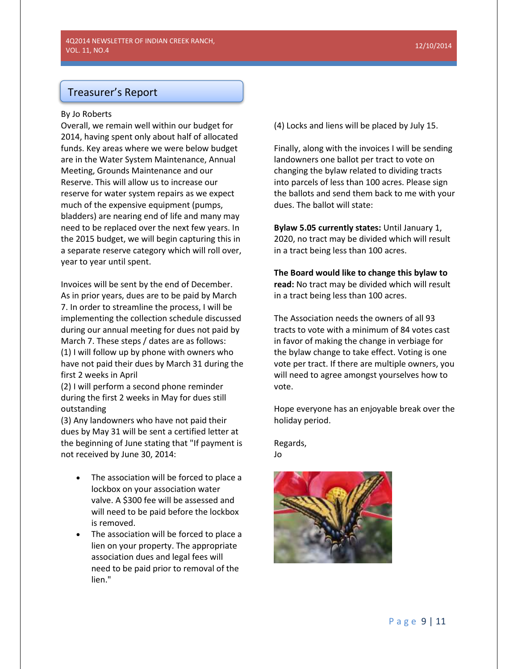# Treasurer's Report

#### By Jo Roberts

Overall, we remain well within our budget for 2014, having spent only about half of allocated funds. Key areas where we were below budget are in the Water System Maintenance, Annual Meeting, Grounds Maintenance and our Reserve. This will allow us to increase our reserve for water system repairs as we expect much of the expensive equipment (pumps, bladders) are nearing end of life and many may need to be replaced over the next few years. In the 2015 budget, we will begin capturing this in a separate reserve category which will roll over, year to year until spent.

Invoices will be sent by the end of December. As in prior years, dues are to be paid by March 7. In order to streamline the process, I will be implementing the collection schedule discussed during our annual meeting for dues not paid by March 7. These steps / dates are as follows: (1) I will follow up by phone with owners who have not paid their dues by March 31 during the first 2 weeks in April

(2) I will perform a second phone reminder during the first 2 weeks in May for dues still outstanding

(3) Any landowners who have not paid their dues by May 31 will be sent a certified letter at the beginning of June stating that "If payment is not received by June 30, 2014:

- The association will be forced to place a lockbox on your association water valve. A \$300 fee will be assessed and will need to be paid before the lockbox is removed.
- The association will be forced to place a lien on your property. The appropriate association dues and legal fees will need to be paid prior to removal of the lien."

(4) Locks and liens will be placed by July 15.

Finally, along with the invoices I will be sending landowners one ballot per tract to vote on changing the bylaw related to dividing tracts into parcels of less than 100 acres. Please sign the ballots and send them back to me with your dues. The ballot will state:

**Bylaw 5.05 currently states:** Until January 1, 2020, no tract may be divided which will result in a tract being less than 100 acres.

**The Board would like to change this bylaw to read:** No tract may be divided which will result in a tract being less than 100 acres.

The Association needs the owners of all 93 tracts to vote with a minimum of 84 votes cast in favor of making the change in verbiage for the bylaw change to take effect. Voting is one vote per tract. If there are multiple owners, you will need to agree amongst yourselves how to vote.

Hope everyone has an enjoyable break over the holiday period.

Regards,

Jo

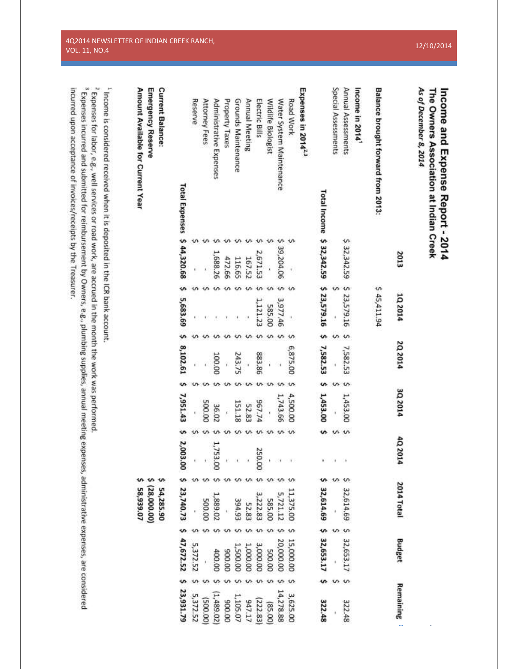| The Owners Association at Indian Creek<br>Income and Expense Report - 2014 |
|----------------------------------------------------------------------------|
|                                                                            |
|                                                                            |
|                                                                            |

| As of December 8, 2014             |           |                           |             |            |          |                                                               |                                        |                        |
|------------------------------------|-----------|---------------------------|-------------|------------|----------|---------------------------------------------------------------|----------------------------------------|------------------------|
|                                    | 2013      | 102014                    | 2Q 2014     | 3Q 2014    | 4Q 2014  | 2014 Total                                                    | <b>Budget</b>                          | Remaining <sup>3</sup> |
| Balance brought forward from 2013: |           | \$45,411.94               |             |            |          |                                                               |                                        |                        |
| Income in 2014 <sup>1</sup>        |           |                           |             |            |          |                                                               |                                        |                        |
| Annual Assessments                 |           | \$ 32,342.59 \$ 23,579.16 | \$ 7,582.53 | 1,453.00   | ١        | 32,614.69 \$ 32,653.17                                        |                                        | 322.48                 |
| Special Assessments                |           |                           |             |            | ×        |                                                               |                                        |                        |
| Total Income \$ 32,342.59          |           | \$23,579.16 \$ 7,582.53   |             | \$1,453.00 | ٠        |                                                               | 32,614.69 \$ 32,653.17                 | 322.48                 |
| Expenses in 2014 <sup>2,3</sup>    |           |                           |             |            |          |                                                               |                                        |                        |
| Road Work                          |           |                           | 6,875.00    | 4,500.00   |          | 11,375.00                                                     | 15,000.00                              | 3,625.00               |
| Water System Maintenance           | 39,204.06 | 3,977.46                  |             | 1,743.66   |          |                                                               | 20,000.00                              | 14,278.88              |
| Wildlife Biologist                 |           | 585.00                    |             |            |          |                                                               | 00'005                                 | (85.00)                |
| Electric Bills                     | 2,671.53  | 1,121.23                  | 883.86      | 967.74     | 250.00   | $\begin{array}{c} 5,721.12 \\ 585.00 \\ 3,222.83 \end{array}$ |                                        | (222.83)               |
| Annual Meeting                     | 167.52    |                           |             | 52.83      |          | 52.83                                                         | $3,000.00$<br>$1,000.00$               | 947.17                 |
| Grounds Maintenance                | 116.65    |                           | 243.75      | 151.18     |          | 394.93                                                        | 1,500.00                               | 1,105.07               |
| Property Taxes                     | 472.66    |                           |             |            |          |                                                               | 00'006                                 | 00'006                 |
| Administrative Expenses            | 1,688.26  |                           | 100.00      | 36.02      | 1,753.0  | 1,889.02                                                      | 400.00                                 | (1,489.02)             |
| Attorney Fees                      |           |                           |             | 500.00     |          | 00'005                                                        |                                        | (00'005)               |
| Reserve                            |           |                           |             |            |          |                                                               | 5,372.52                               | 5,372.52               |
| Total Expenses \$ 44,320.68        |           | 5,683.69                  | 8,102.61    | \$7,951.43 | 2,003.00 |                                                               | \$ 23,740.73 \$ 47,672.52 \$ 23,931.79 |                        |
| <b>Current Balance:</b>            |           |                           |             |            |          | 54,285.90                                                     |                                        |                        |
| <b>Emergency Reserve</b>           |           |                           |             |            |          | (28,000.00)                                                   |                                        |                        |
| Amount Available for Current Year  |           |                           |             |            |          | 58,939.07                                                     |                                        |                        |

<sup>1</sup> Income is considered received when it is deposited in the ICR bank account.

 $\frac{1}{3}$  Expenses for labor, e.g., well services or road work, are accrued in the month the work was performed.

 $^{3}$  Expenses incurred and submitted for reimbursement by Owners, e.g., plumbing supplies, annual meeting expenses, administrative expenses, are considered incurred upon acceptance of invoices/receipts by the Treasurer.